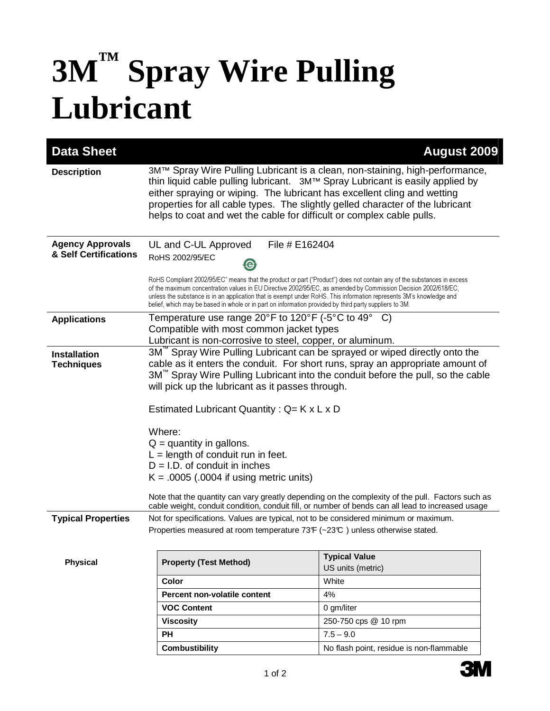## **3M™ Spray Wire Pulling Lubricant**

| <b>Data Sheet</b>                                |                                                                                                                                                                                                                                                                                                                                                                                                                                                                           | <b>August 2009</b>                                                                                                                                                                                    |
|--------------------------------------------------|---------------------------------------------------------------------------------------------------------------------------------------------------------------------------------------------------------------------------------------------------------------------------------------------------------------------------------------------------------------------------------------------------------------------------------------------------------------------------|-------------------------------------------------------------------------------------------------------------------------------------------------------------------------------------------------------|
| <b>Description</b>                               | 3M™ Spray Wire Pulling Lubricant is a clean, non-staining, high-performance,<br>thin liquid cable pulling lubricant. 3M™ Spray Lubricant is easily applied by<br>either spraying or wiping. The lubricant has excellent cling and wetting<br>properties for all cable types. The slightly gelled character of the lubricant<br>helps to coat and wet the cable for difficult or complex cable pulls.                                                                      |                                                                                                                                                                                                       |
| <b>Agency Approvals</b><br>& Self Certifications | File # E162404<br>UL and C-UL Approved<br>RoHS 2002/95/EC                                                                                                                                                                                                                                                                                                                                                                                                                 |                                                                                                                                                                                                       |
|                                                  | RoHS Compliant 2002/95/EC" means that the product or part ("Product") does not contain any of the substances in excess<br>of the maximum concentration values in EU Directive 2002/95/EC, as amended by Commission Decision 2002/618/EC,<br>unless the substance is in an application that is exempt under RoHS. This information represents 3M's knowledge and<br>belief, which may be based in whole or in part on information provided by third party suppliers to 3M. |                                                                                                                                                                                                       |
| <b>Applications</b>                              | Temperature use range 20 $\degree$ F to 120 $\degree$ F (-5 $\degree$ C to 49 $\degree$ C)<br>Compatible with most common jacket types                                                                                                                                                                                                                                                                                                                                    |                                                                                                                                                                                                       |
|                                                  | Lubricant is non-corrosive to steel, copper, or aluminum.                                                                                                                                                                                                                                                                                                                                                                                                                 |                                                                                                                                                                                                       |
| <b>Installation</b><br><b>Techniques</b>         | 3M <sup>"</sup> Spray Wire Pulling Lubricant can be sprayed or wiped directly onto the<br>cable as it enters the conduit. For short runs, spray an appropriate amount of<br>3M <sup>™</sup> Spray Wire Pulling Lubricant into the conduit before the pull, so the cable<br>will pick up the lubricant as it passes through.<br>Estimated Lubricant Quantity: $Q = K \times L \times D$                                                                                    |                                                                                                                                                                                                       |
|                                                  | Where:<br>$Q =$ quantity in gallons.<br>$L =$ length of conduit run in feet.<br>$D = I.D.$ of conduit in inches<br>$K = .0005$ (.0004 if using metric units)                                                                                                                                                                                                                                                                                                              | Note that the quantity can vary greatly depending on the complexity of the pull. Factors such as<br>cable weight, conduit condition, conduit fill, or number of bends can all lead to increased usage |
| <b>Typical Properties</b>                        | Not for specifications. Values are typical, not to be considered minimum or maximum.<br>Properties measured at room temperature 73F (~23°C) unless otherwise stated.                                                                                                                                                                                                                                                                                                      |                                                                                                                                                                                                       |
| <b>Physical</b>                                  | <b>Property (Test Method)</b>                                                                                                                                                                                                                                                                                                                                                                                                                                             | <b>Typical Value</b><br>US units (metric)                                                                                                                                                             |
|                                                  | <b>Color</b>                                                                                                                                                                                                                                                                                                                                                                                                                                                              | White                                                                                                                                                                                                 |
|                                                  | Percent non-volatile content                                                                                                                                                                                                                                                                                                                                                                                                                                              | 4%                                                                                                                                                                                                    |
|                                                  | <b>VOC Content</b>                                                                                                                                                                                                                                                                                                                                                                                                                                                        | 0 gm/liter                                                                                                                                                                                            |
|                                                  | <b>Viscosity</b>                                                                                                                                                                                                                                                                                                                                                                                                                                                          | 250-750 cps @ 10 rpm                                                                                                                                                                                  |
|                                                  | <b>PH</b>                                                                                                                                                                                                                                                                                                                                                                                                                                                                 | $7.5 - 9.0$                                                                                                                                                                                           |
|                                                  | <b>Combustibility</b>                                                                                                                                                                                                                                                                                                                                                                                                                                                     | No flash point, residue is non-flammable                                                                                                                                                              |